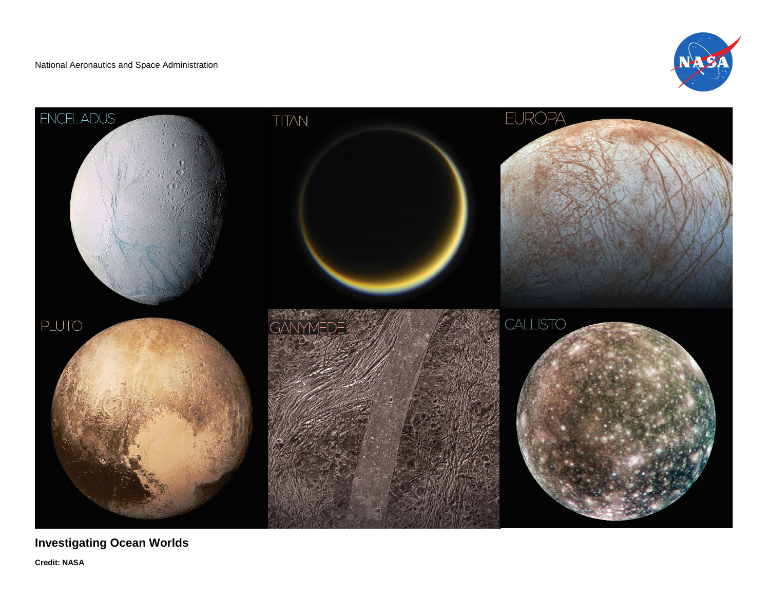



**Investigating Ocean Worlds Credit: NASA**